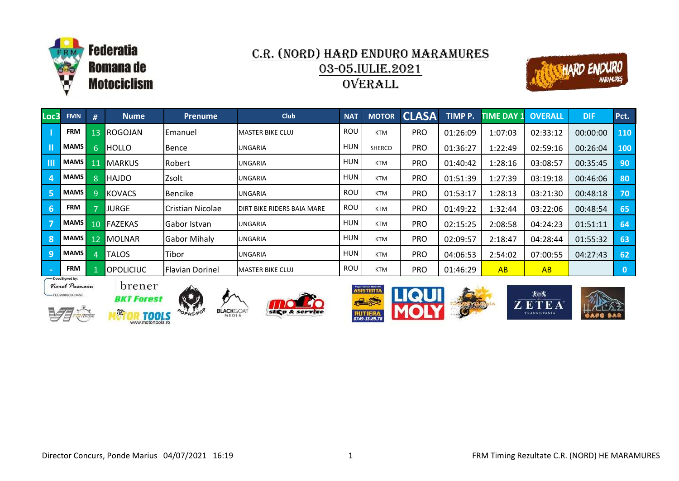



| Loc3            | <b>FMN</b>  | #               | <b>Nume</b>      | <b>Prenume</b>         | <b>Club</b>                       | <b>NAT</b> | <b>MOTOR</b> | <b>CLASA</b> | TIMP P.  | <b>TIME DAY 1</b> | <b>OVERALL</b> | <b>DIF</b> | Pct.       |
|-----------------|-------------|-----------------|------------------|------------------------|-----------------------------------|------------|--------------|--------------|----------|-------------------|----------------|------------|------------|
|                 | <b>FRM</b>  | 13 <sub>1</sub> | ROGOJAN          | Emanuel                | <b>I</b> MASTER BIKE CLUJ         | ROU        | <b>KTM</b>   | <b>PRO</b>   | 01:26:09 | 1:07:03           | 02:33:12       | 00:00:00   | <b>110</b> |
| П               | <b>MAMS</b> | 6.              | <b>HOLLO</b>     | Bence                  | <b>UNGARIA</b>                    | <b>HUN</b> | SHERCO       | <b>PRO</b>   | 01:36:27 | 1:22:49           | 02:59:16       | 00:26:04   | 100        |
| -III            | MAMS        | 11              | <b>MARKUS</b>    | Robert                 | <b>UNGARIA</b>                    | <b>HUN</b> | <b>KTM</b>   | <b>PRO</b>   | 01:40:42 | 1:28:16           | 03:08:57       | 00:35:45   | 90         |
| $\overline{a}$  | <b>MAMS</b> | 8               | <b>HAJDO</b>     | Zsolt                  | <b>UNGARIA</b>                    | <b>HUN</b> | <b>KTM</b>   | <b>PRO</b>   | 01:51:39 | 1:27:39           | 03:19:18       | 00:46:06   | 80         |
| -5              | <b>MAMS</b> | Q.              | <b>KOVACS</b>    | Bencike                | <b>IUNGARIA</b>                   | ROU        | <b>KTM</b>   | <b>PRO</b>   | 01:53:17 | 1:28:13           | 03:21:30       | 00:48:18   | 70         |
| 6               | <b>FRM</b>  |                 | <b>JURGE</b>     | Cristian Nicolae       | <b>DIRT BIKE RIDERS BAIA MARE</b> | ROU        | <b>KTM</b>   | PRO          | 01:49:22 | 1:32:44           | 03:22:06       | 00:48:54   | 65         |
| -7              | <b>MAMS</b> | 10 <sup>1</sup> | <b>FAZEKAS</b>   | Gabor Istvan           | <b>IUNGARIA</b>                   | <b>HUN</b> | KTM          | <b>PRO</b>   | 02:15:25 | 2:08:58           | 04:24:23       | 01:51:11   | 64         |
| -8              | MAMS        | 12 <sup>°</sup> | MOLNAR           | <b>Gabor Mihaly</b>    | <b>UNGARIA</b>                    | <b>HUN</b> | <b>KTM</b>   | <b>PRO</b>   | 02:09:57 | 2:18:47           | 04:28:44       | 01:55:32   | 63         |
| $\mathbf{q}$    | <b>MAMS</b> |                 | <b>TALOS</b>     | Tibor                  | <b>UNGARIA</b>                    | <b>HUN</b> | <b>KTM</b>   | PRO          | 04:06:53 | 2:54:02           | 07:00:55       | 04:27:43   | 62         |
| <b>Contract</b> | <b>FRM</b>  |                 | <b>OPOLICIUC</b> | <b>Flavian Dorinel</b> | <b>IMASTER BIKE CLUJ</b>          | ROU        | <b>KTM</b>   | <b>PRO</b>   | 01:46:29 | AB                | AB             |            | 0          |







brener













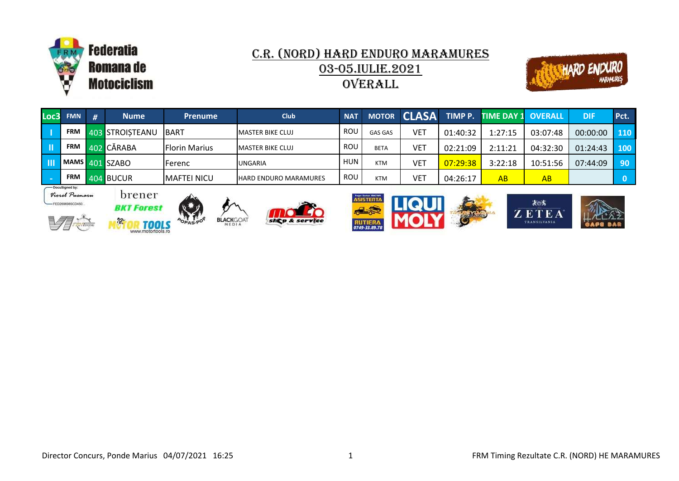



|                          | Loc3 FMN   | ' # I | <b>Nume</b>                  | <b>Prenume</b>       | <b>Club</b>                  | <b>NAT</b> |                |            |          | MOTOR CLASA TIMP P. TIME DAY 1 OVERALL |          | DIF      | Pct.             |
|--------------------------|------------|-------|------------------------------|----------------------|------------------------------|------------|----------------|------------|----------|----------------------------------------|----------|----------|------------------|
| $\overline{\phantom{a}}$ | <b>FRM</b> |       | 403 STROISTEANU              | <b>IBART</b>         | <b>I</b> MASTER BIKE CLUJ    | ROU        | <b>GAS GAS</b> | <b>VET</b> | 01:40:32 | 1:27:15                                | 03:07:48 | 00:00:00 | <b>110</b>       |
| Lш                       | <b>FRM</b> |       | 402 CĂRABA                   | <b>Florin Marius</b> | <b>IMASTER BIKE CLUJ</b>     | ROU        | <b>BETA</b>    | <b>VET</b> | 02:21:09 | 2:11:21                                | 04:32:30 | 01:24:43 | 100 <sub>1</sub> |
| l III                    |            |       | $_4$ MAMS $\sqrt{401}$ SZABO | Ferenc               | <b>UNGARIA</b>               | <b>HUN</b> | <b>KTM</b>     | <b>VET</b> | 07:29:38 | 3:22:18                                | 10:51:56 | 07:44:09 | 90               |
|                          | <b>FRM</b> |       | 404 BUCUR                    | IMAFTEI NICU         | <b>HARD ENDURO MARAMURES</b> | ROU        | <b>KTM</b>     | VET        | 04:26:17 | AB                                     | AB       |          |                  |









**BLACK**GOAT









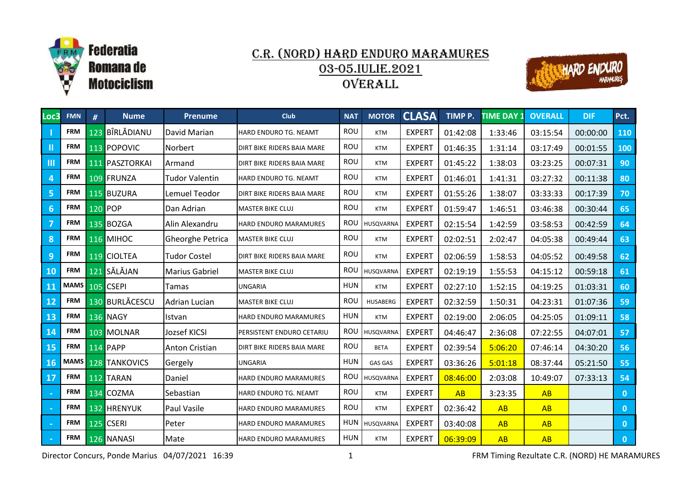



| Loc3           | <b>FMN</b>  | #   | <b>Nume</b>     | <b>Prenume</b>        | <b>Club</b>                | <b>NAT</b> | <b>MOTOR</b>    | <b>CLASA</b>  | TIMP P.  | <b>TIME DAY 1</b> | <b>OVERALL</b> | <b>DIF</b> | Pct.         |
|----------------|-------------|-----|-----------------|-----------------------|----------------------------|------------|-----------------|---------------|----------|-------------------|----------------|------------|--------------|
|                | <b>FRM</b>  |     | 123 BÎRLĂDIANU  | David Marian          | HARD ENDURO TG. NEAMT      | ROU        | <b>KTM</b>      | <b>EXPERT</b> | 01:42:08 | 1:33:46           | 03:15:54       | 00:00:00   | 110          |
| Ш              | <b>FRM</b>  |     | 113 POPOVIC     | Norbert               | DIRT BIKE RIDERS BAIA MARE | <b>ROU</b> | <b>KTM</b>      | <b>EXPERT</b> | 01:46:35 | 1:31:14           | 03:17:49       | 00:01:55   | 100          |
| $\mathbf{m}$   | <b>FRM</b>  |     | 111 PASZTORKAI  | Armand                | DIRT BIKE RIDERS BAIA MARE | ROU        | <b>KTM</b>      | <b>EXPERT</b> | 01:45:22 | 1:38:03           | 03:23:25       | 00:07:31   | 90           |
| $\overline{4}$ | <b>FRM</b>  |     | 109 FRUNZA      | Tudor Valentin        | HARD ENDURO TG. NEAMT      | ROU        | <b>KTM</b>      | <b>EXPERT</b> | 01:46:01 | 1:41:31           | 03:27:32       | 00:11:38   | 80           |
| 5              | <b>FRM</b>  |     | 115 BUZURA      | Lemuel Teodor         | DIRT BIKE RIDERS BAIA MARE | ROU        | <b>KTM</b>      | <b>EXPERT</b> | 01:55:26 | 1:38:07           | 03:33:33       | 00:17:39   | 70           |
| 6              | <b>FRM</b>  |     | 120 POP         | Dan Adrian            | <b>MASTER BIKE CLUJ</b>    | ROU        | <b>KTM</b>      | <b>EXPERT</b> | 01:59:47 | 1:46:51           | 03:46:38       | 00:30:44   | 65           |
| $\overline{7}$ | <b>FRM</b>  |     | 135 BOZGA       | Alin Alexandru        | HARD ENDURO MARAMURES      | ROU        | HUSQVARNA       | <b>EXPERT</b> | 02:15:54 | 1:42:59           | 03:58:53       | 00:42:59   | 64           |
| 8              | <b>FRM</b>  |     | 116 MIHOC       | Gheorghe Petrica      | <b>MASTER BIKE CLUJ</b>    | ROU        | <b>KTM</b>      | <b>EXPERT</b> | 02:02:51 | 2:02:47           | 04:05:38       | 00:49:44   | 63           |
| 9              | <b>FRM</b>  |     | 119 CIOLTEA     | <b>Tudor Costel</b>   | DIRT BIKE RIDERS BAIA MARE | ROU        | <b>KTM</b>      | <b>EXPERT</b> | 02:06:59 | 1:58:53           | 04:05:52       | 00:49:58   | 62           |
| 10             | <b>FRM</b>  |     | 121 SĂLĂJAN     | <b>Marius Gabriel</b> | <b>MASTER BIKE CLUJ</b>    | ROU        | HUSQVARNA       | <b>EXPERT</b> | 02:19:19 | 1:55:53           | 04:15:12       | 00:59:18   | 61           |
| 11             | MAMS        |     | 105 CSEPI       | Tamas                 | <b>UNGARIA</b>             | <b>HUN</b> | <b>KTM</b>      | <b>EXPERT</b> | 02:27:10 | 1:52:15           | 04:19:25       | 01:03:31   | 60           |
| 12             | <b>FRM</b>  |     | 130 BURLĂCESCU  | Adrian Lucian         | <b>MASTER BIKE CLUJ</b>    | <b>ROU</b> | <b>HUSABERG</b> | <b>EXPERT</b> | 02:32:59 | 1:50:31           | 04:23:31       | 01:07:36   | 59           |
| 13             | <b>FRM</b>  |     | <b>136 NAGY</b> | Istvan                | HARD ENDURO MARAMURES      | <b>HUN</b> | <b>KTM</b>      | <b>EXPERT</b> | 02:19:00 | 2:06:05           | 04:25:05       | 01:09:11   | 58           |
| 14             | <b>FRM</b>  |     | 103 MOLNAR      | Jozsef KICSI          | PERSISTENT ENDURO CETARIU  | ROU        | HUSQVARNA       | <b>EXPERT</b> | 04:46:47 | 2:36:08           | 07:22:55       | 04:07:01   | 57           |
| 15             | <b>FRM</b>  |     | <b>114 PAPP</b> | <b>Anton Cristian</b> | DIRT BIKE RIDERS BAIA MARE | ROU        | <b>BETA</b>     | <b>EXPERT</b> | 02:39:54 | 5:06:20           | 07:46:14       | 04:30:20   | 56           |
| 16             | <b>MAMS</b> |     | 128 TANKOVICS   | Gergely               | <b>UNGARIA</b>             | <b>HUN</b> | <b>GAS GAS</b>  | <b>EXPERT</b> | 03:36:26 | 5:01:18           | 08:37:44       | 05:21:50   | 55           |
| 17             | <b>FRM</b>  |     | 112 TARAN       | Daniel                | HARD ENDURO MARAMURES      | <b>ROU</b> | HUSQVARNA       | <b>EXPERT</b> | 08:46:00 | 2:03:08           | 10:49:07       | 07:33:13   | 54           |
|                | <b>FRM</b>  |     | 134 COZMA       | Sebastian             | HARD ENDURO TG. NEAMT      | <b>ROU</b> | <b>KTM</b>      | <b>EXPERT</b> | AB       | 3:23:35           | AB             |            | $\mathbf{0}$ |
|                | <b>FRM</b>  | 132 | <b>HRENYUK</b>  | Paul Vasile           | HARD ENDURO MARAMURES      | ROU        | <b>KTM</b>      | <b>EXPERT</b> | 02:36:42 | AB                | AB             |            | $\mathbf{0}$ |
|                | <b>FRM</b>  |     | 125 CSERI       | Peter                 | HARD ENDURO MARAMURES      |            | HUN HUSQVARNA   | <b>EXPERT</b> | 03:40:08 | AB                | AB             |            | $\bullet$    |
|                | <b>FRM</b>  |     | 126 NANASI      | Mate                  | HARD ENDURO MARAMURES      | <b>HUN</b> | <b>KTM</b>      | <b>EXPERT</b> | 06:39:09 | <b>AB</b>         | AB             |            | $\mathbf{0}$ |

Director Concurs, Ponde Marius 04/07/2021 16:39 1 1 1 1 1 1 1 1 1 FRM Timing Rezultate C.R. (NORD) HE MARAMURES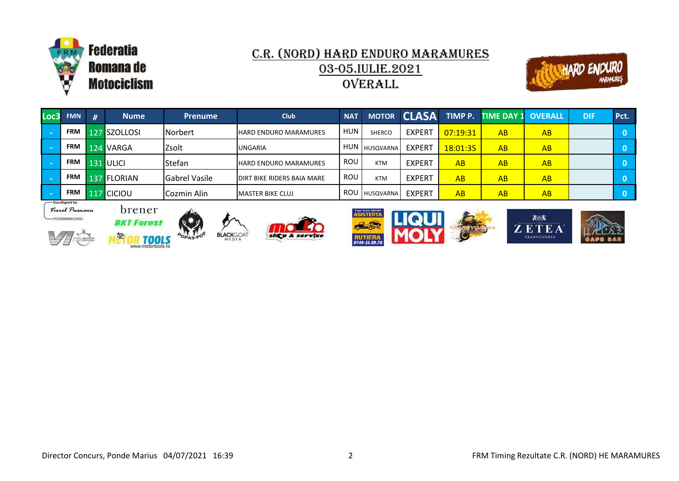



| Loc3l    | <b>FMN</b>     | # | <b>Nume</b>  | <b>Prenume</b>       | <b>Club</b>                       | <b>NAT</b> | <b>MOTOR</b>    | <b>CLASA</b>  |          | TIMP P. TIME DAY 1 OVERALL |           | <b>DIF</b> | Pct. |
|----------|----------------|---|--------------|----------------------|-----------------------------------|------------|-----------------|---------------|----------|----------------------------|-----------|------------|------|
| <b>I</b> | <b>FRM</b>     |   | 127 SZOLLOSI | Norbert              | <b>HARD ENDURO MARAMURES</b>      | <b>HUN</b> | <b>SHERCO</b>   | <b>EXPERT</b> | 07:19:31 | AB                         | AB        |            |      |
|          | <b>FRM</b>     |   | 124 VARGA    | Zsolt                | <b>UNGARIA</b>                    |            | I HUN HUSQVARNA | <b>EXPERT</b> | 18:01:35 | AB                         | AB        |            |      |
| h a      | <b>FRM</b>     |   | 131 ULICI    | Stefan               | <b>HARD ENDURO MARAMURES</b>      | <b>ROU</b> | <b>KTM</b>      | <b>EXPERT</b> | AB       | AB                         | <b>AB</b> |            |      |
| h a      | <b>FRM</b>     |   | 137 FLORIAN  | <b>Gabrel Vasile</b> | <b>DIRT BIKE RIDERS BAIA MARE</b> | <b>ROU</b> | <b>KTM</b>      | <b>EXPERT</b> | AB       | AB                         | AB        |            |      |
|          | <b>FRM</b>     |   | 117 CICIOU   | Cozmin Alin          | <b>IMASTER BIKE CLUJ</b>          |            | I ROU HUSQVARNA | <b>EXPERT</b> | AB       | AB                         | AB        |            |      |
|          | DocuGinned hum |   |              |                      |                                   |            |                 |               |          |                            |           |            |      |







 $\frac{3}{2}$ 



**BLACK**GOAT





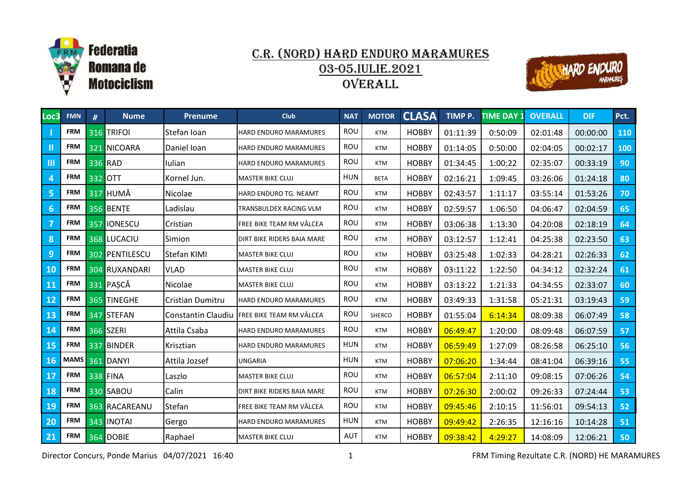



| Loc3           | <b>FMN</b> | # | <b>Nume</b>      | <b>Prenume</b>            | <b>Club</b>                  | <b>NAT</b> | <b>MOTOR</b>  | <b>CLASA</b> | TIMP P.  | <b>TIME DAY 1</b> | <b>OVERALL</b> | <b>DIF</b> | Pct. |
|----------------|------------|---|------------------|---------------------------|------------------------------|------------|---------------|--------------|----------|-------------------|----------------|------------|------|
|                | <b>FRM</b> |   | 316 TRIFOI       | Stefan Ioan               | HARD ENDURO MARAMURES        | ROU        | <b>KTM</b>    | <b>HOBBY</b> | 01:11:39 | 0:50:09           | 02:01:48       | 00:00:00   | 110  |
| $\mathbf{H}$   | <b>FRM</b> |   | 321 NICOARA      | Daniel Ioan               | HARD ENDURO MARAMURES        | ROU        | <b>KTM</b>    | <b>HOBBY</b> | 01:14:05 | 0:50:00           | 02:04:05       | 00:02:17   | 100  |
| $\mathbf{m}$   | <b>FRM</b> |   | 336 RAD          | Iulian                    | <b>HARD ENDURO MARAMURES</b> | <b>ROU</b> | <b>KTM</b>    | <b>HOBBY</b> | 01:34:45 | 1:00:22           | 02:35:07       | 00:33:19   | 90   |
| $\overline{4}$ | <b>FRM</b> |   | 332 OTT          | Kornel Jun.               | <b>MASTER BIKE CLUJ</b>      | <b>HUN</b> | <b>BETA</b>   | <b>HOBBY</b> | 02:16:21 | 1:09:45           | 03:26:06       | 01:24:18   | 80   |
| -5             | <b>FRM</b> |   | <b>317 HUMĂ</b>  | Nicolae                   | HARD ENDURO TG. NEAMT        | <b>ROU</b> | <b>KTM</b>    | <b>HOBBY</b> | 02:43:57 | 1:11:17           | 03:55:14       | 01:53:26   | 70   |
| 6              | <b>FRM</b> |   | 356 BENTE        | Ladislau                  | TRANSBULDEX RACING VLM       | ROU        | <b>KTM</b>    | <b>HOBBY</b> | 02:59:57 | 1:06:50           | 04:06:47       | 02:04:59   | 65   |
| $\overline{7}$ | <b>FRM</b> |   | 357 IONESCU      | Cristian                  | FREE BIKE TEAM RM VÂLCEA     | ROU        | <b>KTM</b>    | <b>HOBBY</b> | 03:06:38 | 1:13:30           | 04:20:08       | 02:18:19   | 64   |
| 8              | <b>FRM</b> |   | 368 LUCACIU      | Simion                    | DIRT BIKE RIDERS BAIA MARE   | ROU        | <b>KTM</b>    | <b>HOBBY</b> | 03:12:57 | 1:12:41           | 04:25:38       | 02:23:50   | 63   |
| 9              | <b>FRM</b> |   | 302 PENTILESCU   | <b>Stefan KIMI</b>        | <b>MASTER BIKE CLUJ</b>      | ROU        | <b>KTM</b>    | <b>HOBBY</b> | 03:25:48 | 1:02:33           | 04:28:21       | 02:26:33   | 62   |
| 10             | <b>FRM</b> |   | 304 RUXANDARI    | <b>VLAD</b>               | <b>MASTER BIKE CLUJ</b>      | ROU        | <b>KTM</b>    | <b>HOBBY</b> | 03:11:22 | 1:22:50           | 04:34:12       | 02:32:24   | 61   |
| 11             | <b>FRM</b> |   | 331 PAȘCĂ        | Nicolae                   | <b>MASTER BIKE CLUJ</b>      | <b>ROU</b> | <b>KTM</b>    | <b>HOBBY</b> | 03:13:22 | 1:21:33           | 04:34:55       | 02:33:07   | 60   |
| 12             | <b>FRM</b> |   | 365 TINEGHE      | Cristian Dumitru          | HARD ENDURO MARAMURES        | ROU        | <b>KTM</b>    | <b>HOBBY</b> | 03:49:33 | 1:31:58           | 05:21:31       | 03:19:43   | 59   |
| 13             | <b>FRM</b> |   | 347 STEFAN       | <b>Constantin Claudiu</b> | FREE BIKE TEAM RM VÂLCEA     | ROU        | <b>SHERCO</b> | <b>HOBBY</b> | 01:55:04 | 6:14:34           | 08:09:38       | 06:07:49   | 58   |
| 14             | <b>FRM</b> |   | 366 SZERI        | Attila Csaba              | HARD ENDURO MARAMURES        | ROU        | <b>KTM</b>    | <b>HOBBY</b> | 06:49:47 | 1:20:00           | 08:09:48       | 06:07:59   | 57   |
| 15             | <b>FRM</b> |   | 337 BINDER       | Krisztian                 | HARD ENDURO MARAMURES        | <b>HUN</b> | <b>KTM</b>    | <b>HOBBY</b> | 06:59:49 | 1:27:09           | 08:26:58       | 06:25:10   | 56   |
| 16             |            |   | MAMS 361 DANYI   | Attila Jozsef             | <b>UNGARIA</b>               | <b>HUN</b> | <b>KTM</b>    | <b>HOBBY</b> | 07:06:20 | 1:34:44           | 08:41:04       | 06:39:16   | 55   |
| 17             | <b>FRM</b> |   | <b>338 FINA</b>  | Laszlo                    | MASTER BIKE CLUJ             | ROU        | <b>KTM</b>    | <b>HOBBY</b> | 06:57:04 | 2:11:10           | 09:08:15       | 07:06:26   | 54   |
| 18             | <b>FRM</b> |   | 330 SABOU        | Calin                     | DIRT BIKE RIDERS BAIA MARE   | ROU        | <b>KTM</b>    | <b>HOBBY</b> | 07:26:30 | 2:00:02           | 09:26:33       | 07:24:44   | 53   |
| <b>19</b>      | <b>FRM</b> |   | 363 RACAREANU    | Stefan                    | FREE BIKE TEAM RM VÂLCEA     | ROU        | <b>KTM</b>    | <b>HOBBY</b> | 09:45:46 | 2:10:15           | 11:56:01       | 09:54:13   | 52   |
| 20             | <b>FRM</b> |   | 343 INOTAI       | Gergo                     | <b>HARD ENDURO MARAMURES</b> | <b>HUN</b> | <b>KTM</b>    | <b>HOBBY</b> | 09:49:42 | 2:26:35           | 12:16:16       | 10:14:28   | 51   |
| 21             | <b>FRM</b> |   | <b>364 DOBIE</b> | Raphael                   | <b>MASTER BIKE CLUJ</b>      | <b>AUT</b> | <b>KTM</b>    | <b>HOBBY</b> | 09:38:42 | 4:29:27           | 14:08:09       | 12:06:21   | 50   |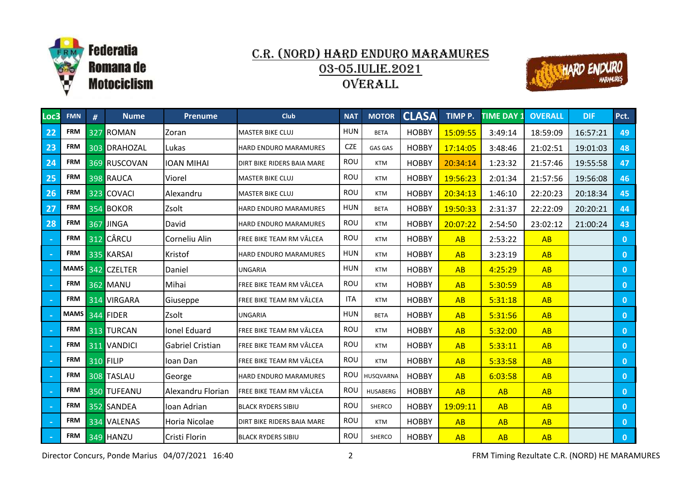



| Loc3   | <b>FMN</b> | # | <b>Nume</b>        | <b>Prenume</b>    | <b>Club</b>                  | <b>NAT</b> | <b>MOTOR</b>    | <b>CLASA</b> | TIMP P.  | <b>TIME DAY 1</b> | <b>OVERALL</b> | <b>DIF</b> | Pct.         |
|--------|------------|---|--------------------|-------------------|------------------------------|------------|-----------------|--------------|----------|-------------------|----------------|------------|--------------|
| 22     | <b>FRM</b> |   | 327 ROMAN          | Zoran             | <b>MASTER BIKE CLUJ</b>      | <b>HUN</b> | <b>BETA</b>     | <b>HOBBY</b> | 15:09:55 | 3:49:14           | 18:59:09       | 16:57:21   | 49           |
| 23     | <b>FRM</b> |   | 303 DRAHOZAL       | Lukas             | <b>HARD ENDURO MARAMURES</b> | <b>CZE</b> | <b>GAS GAS</b>  | <b>HOBBY</b> | 17:14:05 | 3:48:46           | 21:02:51       | 19:01:03   | 48           |
| 24     | <b>FRM</b> |   | 369 RUSCOVAN       | <b>IOAN MIHAI</b> | DIRT BIKE RIDERS BAIA MARE   | ROU        | <b>KTM</b>      | <b>HOBBY</b> | 20:34:14 | 1:23:32           | 21:57:46       | 19:55:58   | 47           |
| 25     | <b>FRM</b> |   | 398 RAUCA          | Viorel            | <b>MASTER BIKE CLUJ</b>      | ROU        | <b>KTM</b>      | <b>HOBBY</b> | 19:56:23 | 2:01:34           | 21:57:56       | 19:56:08   | 46           |
| 26     | <b>FRM</b> |   | 323 COVACI         | Alexandru         | <b>MASTER BIKE CLUJ</b>      | ROU        | <b>KTM</b>      | <b>HOBBY</b> | 20:34:13 | 1:46:10           | 22:20:23       | 20:18:34   | 45           |
| 27     | <b>FRM</b> |   | 354 BOKOR          | Zsolt             | HARD ENDURO MARAMURES        | <b>HUN</b> | <b>BETA</b>     | <b>HOBBY</b> | 19:50:33 | 2:31:37           | 22:22:09       | 20:20:21   | 44           |
| 28     | <b>FRM</b> |   | 367 JINGA          | David             | HARD ENDURO MARAMURES        | ROU        | <b>KTM</b>      | <b>HOBBY</b> | 20:07:22 | 2:54:50           | 23:02:12       | 21:00:24   | 43           |
| $\sim$ | <b>FRM</b> |   | 312 CÂRCU          | Corneliu Alin     | FREE BIKE TEAM RM VÂLCEA     | ROU        | <b>KTM</b>      | <b>HOBBY</b> | AB       | 2:53:22           | AB             |            | $\mathbf{0}$ |
|        | <b>FRM</b> |   | 335 KARSAI         | Kristof           | HARD ENDURO MARAMURES        | <b>HUN</b> | <b>KTM</b>      | <b>HOBBY</b> | AB       | 3:23:19           | AB             |            | $\mathbf{0}$ |
|        |            |   | MAMS 342 CZELTER   | Daniel            | <b>UNGARIA</b>               | <b>HUN</b> | <b>KTM</b>      | <b>HOBBY</b> | AB       | 4:25:29           | AB             |            | $\mathbf{0}$ |
| $\sim$ | <b>FRM</b> |   | <b>362 MANU</b>    | Mihai             | FREE BIKE TEAM RM VÂLCEA     | ROU        | <b>KTM</b>      | <b>HOBBY</b> | AB       | 5:30:59           | AB             |            | $\mathbf{0}$ |
|        | <b>FRM</b> |   | 314 VIRGARA        | Giuseppe          | FREE BIKE TEAM RM VÂLCEA     | <b>ITA</b> | <b>KTM</b>      | <b>HOBBY</b> | AB       | 5:31:18           | AB             |            | $\mathbf{0}$ |
|        |            |   | MAMS 344 FIDER     | Zsolt             | <b>UNGARIA</b>               | <b>HUN</b> | <b>BETA</b>     | <b>HOBBY</b> | AB       | 5:31:56           | AB             |            | $\mathbf{0}$ |
|        | <b>FRM</b> |   | 313 TURCAN         | Ionel Eduard      | FREE BIKE TEAM RM VÂLCEA     | ROU        | <b>KTM</b>      | <b>HOBBY</b> | AB       | 5:32:00           | AB             |            | $\mathbf{0}$ |
| $\sim$ | <b>FRM</b> |   | <b>311 VANDICI</b> | Gabriel Cristian  | FREE BIKE TEAM RM VÂLCEA     | ROU        | <b>KTM</b>      | <b>HOBBY</b> | AB       | 5:33:11           | AB             |            | $\mathbf{0}$ |
| $\sim$ | <b>FRM</b> |   | <b>310 FILIP</b>   | Ioan Dan          | FREE BIKE TEAM RM VÂLCEA     | ROU        | <b>KTM</b>      | <b>HOBBY</b> | AB       | 5:33:58           | AB             |            | $\mathbf{0}$ |
|        | <b>FRM</b> |   | 308 TASLAU         | George            | HARD ENDURO MARAMURES        | ROU        | HUSQVARNA       | <b>HOBBY</b> | AB       | 6:03:58           | AB             |            | $\mathbf{0}$ |
|        | <b>FRM</b> |   | 350 TUFEANU        | Alexandru Florian | FREE BIKE TEAM RM VÂLCEA     | <b>ROU</b> | <b>HUSABERG</b> | <b>HOBBY</b> | AB       | AB                | <b>AB</b>      |            | $\mathbf{0}$ |
|        | <b>FRM</b> |   | 352 SANDEA         | Ioan Adrian       | <b>BLACK RYDERS SIBIU</b>    | ROU        | SHERCO          | <b>HOBBY</b> | 19:09:11 | AB                | AB             |            | $\mathbf{0}$ |
|        | <b>FRM</b> |   | 334 VALENAS        | Horia Nicolae     | DIRT BIKE RIDERS BAIA MARE   | ROU        | <b>KTM</b>      | <b>HOBBY</b> | AB       | AB                | AB             |            | $\mathbf{0}$ |
|        | <b>FRM</b> |   | 349 HANZU          | Cristi Florin     | <b>BLACK RYDERS SIBIU</b>    | ROU        | <b>SHERCO</b>   | <b>HOBBY</b> | AB       | AB                | AB             |            | $\mathbf{0}$ |